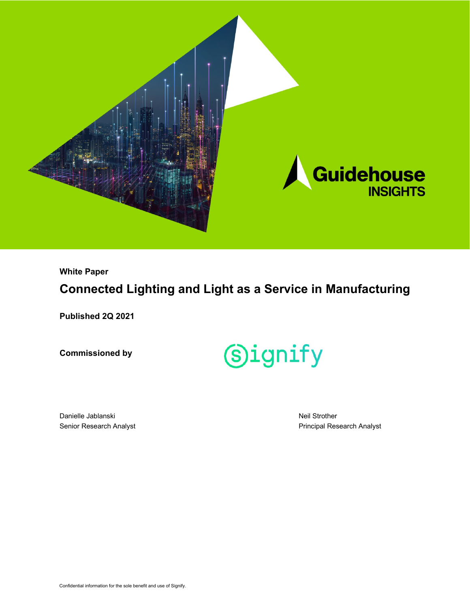

**White Paper**

## **Connected Lighting and Light as a Service in Manufacturing**

**Published 2Q 2021**

**Commissioned by**



Danielle Jablanski Senior Research Analyst Neil Strother Principal Research Analyst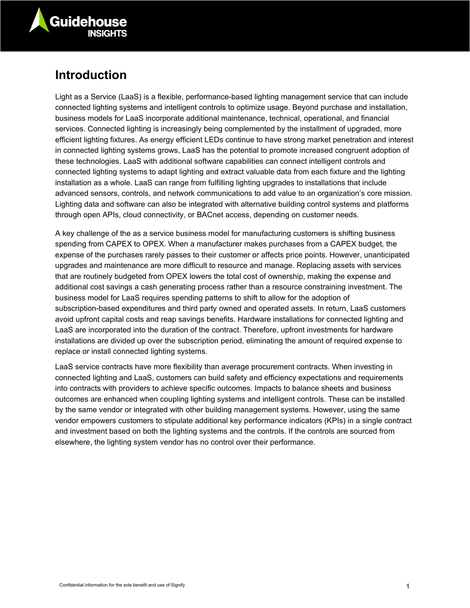

## **Introduction**

Light as a Service (LaaS) is a flexible, performance-based lighting management service that can include connected lighting systems and intelligent controls to optimize usage. Beyond purchase and installation, business models for LaaS incorporate additional maintenance, technical, operational, and financial services. Connected lighting is increasingly being complemented by the installment of upgraded, more efficient lighting fixtures. As energy efficient LEDs continue to have strong market penetration and interest in connected lighting systems grows, LaaS has the potential to promote increased congruent adoption of these technologies. LaaS with additional software capabilities can connect intelligent controls and connected lighting systems to adapt lighting and extract valuable data from each fixture and the lighting installation as a whole. LaaS can range from fulfilling lighting upgrades to installations that include advanced sensors, controls, and network communications to add value to an organization's core mission. Lighting data and software can also be integrated with alternative building control systems and platforms through open APIs, cloud connectivity, or BACnet access, depending on customer needs.

A key challenge of the as a service business model for manufacturing customers is shifting business spending from CAPEX to OPEX. When a manufacturer makes purchases from a CAPEX budget, the expense of the purchases rarely passes to their customer or affects price points. However, unanticipated upgrades and maintenance are more difficult to resource and manage. Replacing assets with services that are routinely budgeted from OPEX lowers the total cost of ownership, making the expense and additional cost savings a cash generating process rather than a resource constraining investment. The business model for LaaS requires spending patterns to shift to allow for the adoption of subscription-based expenditures and third party owned and operated assets. In return, LaaS customers avoid upfront capital costs and reap savings benefits. Hardware installations for connected lighting and LaaS are incorporated into the duration of the contract. Therefore, upfront investments for hardware installations are divided up over the subscription period, eliminating the amount of required expense to replace or install connected lighting systems.

LaaS service contracts have more flexibility than average procurement contracts. When investing in connected lighting and LaaS, customers can build safety and efficiency expectations and requirements into contracts with providers to achieve specific outcomes. Impacts to balance sheets and business outcomes are enhanced when coupling lighting systems and intelligent controls. These can be installed by the same vendor or integrated with other building management systems. However, using the same vendor empowers customers to stipulate additional key performance indicators (KPIs) in a single contract and investment based on both the lighting systems and the controls. If the controls are sourced from elsewhere, the lighting system vendor has no control over their performance.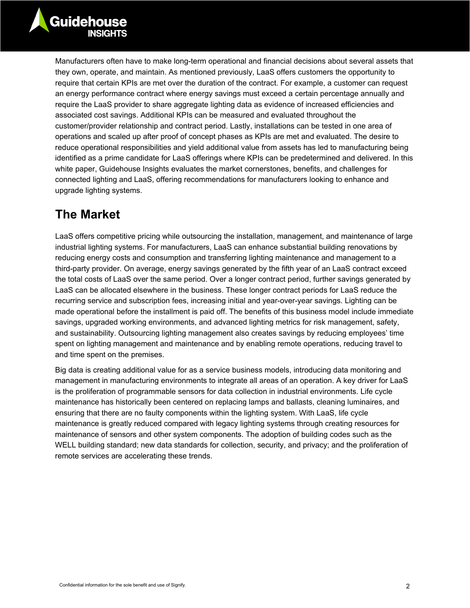Manufacturers often have to make long-term operational and financial decisions about several assets that they own, operate, and maintain. As mentioned previously, LaaS offers customers the opportunity to require that certain KPIs are met over the duration of the contract. For example, a customer can request an energy performance contract where energy savings must exceed a certain percentage annually and require the LaaS provider to share aggregate lighting data as evidence of increased efficiencies and associated cost savings. Additional KPIs can be measured and evaluated throughout the customer/provider relationship and contract period. Lastly, installations can be tested in one area of operations and scaled up after proof of concept phases as KPIs are met and evaluated. The desire to reduce operational responsibilities and yield additional value from assets has led to manufacturing being identified as a prime candidate for LaaS offerings where KPIs can be predetermined and delivered. In this white paper, Guidehouse Insights evaluates the market cornerstones, benefits, and challenges for connected lighting and LaaS, offering recommendations for manufacturers looking to enhance and upgrade lighting systems.

## **The Market**

LaaS offers competitive pricing while outsourcing the installation, management, and maintenance of large industrial lighting systems. For manufacturers, LaaS can enhance substantial building renovations by reducing energy costs and consumption and transferring lighting maintenance and management to a third-party provider. On average, energy savings generated by the fifth year of an LaaS contract exceed the total costs of LaaS over the same period. Over a longer contract period, further savings generated by LaaS can be allocated elsewhere in the business. These longer contract periods for LaaS reduce the recurring service and subscription fees, increasing initial and year-over-year savings. Lighting can be made operational before the installment is paid off. The benefits of this business model include immediate savings, upgraded working environments, and advanced lighting metrics for risk management, safety, and sustainability. Outsourcing lighting management also creates savings by reducing employees' time spent on lighting management and maintenance and by enabling remote operations, reducing travel to and time spent on the premises.

Big data is creating additional value for as a service business models, introducing data monitoring and management in manufacturing environments to integrate all areas of an operation. A key driver for LaaS is the proliferation of programmable sensors for data collection in industrial environments. Life cycle maintenance has historically been centered on replacing lamps and ballasts, cleaning luminaires, and ensuring that there are no faulty components within the lighting system. With LaaS, life cycle maintenance is greatly reduced compared with legacy lighting systems through creating resources for maintenance of sensors and other system components. The adoption of building codes such as the WELL building standard; new data standards for collection, security, and privacy; and the proliferation of remote services are accelerating these trends.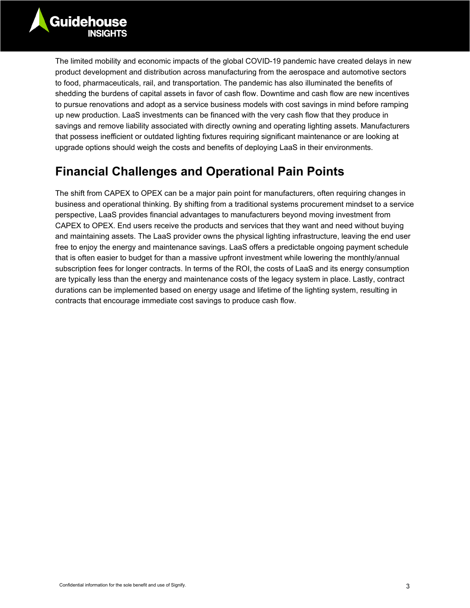The limited mobility and economic impacts of the global COVID-19 pandemic have created delays in new product development and distribution across manufacturing from the aerospace and automotive sectors to food, pharmaceuticals, rail, and transportation. The pandemic has also illuminated the benefits of shedding the burdens of capital assets in favor of cash flow. Downtime and cash flow are new incentives to pursue renovations and adopt as a service business models with cost savings in mind before ramping up new production. LaaS investments can be financed with the very cash flow that they produce in savings and remove liability associated with directly owning and operating lighting assets. Manufacturers that possess inefficient or outdated lighting fixtures requiring significant maintenance or are looking at upgrade options should weigh the costs and benefits of deploying LaaS in their environments.

## **Financial Challenges and Operational Pain Points**

The shift from CAPEX to OPEX can be a major pain point for manufacturers, often requiring changes in business and operational thinking. By shifting from a traditional systems procurement mindset to a service perspective, LaaS provides financial advantages to manufacturers beyond moving investment from CAPEX to OPEX. End users receive the products and services that they want and need without buying and maintaining assets. The LaaS provider owns the physical lighting infrastructure, leaving the end user free to enjoy the energy and maintenance savings. LaaS offers a predictable ongoing payment schedule that is often easier to budget for than a massive upfront investment while lowering the monthly/annual subscription fees for longer contracts. In terms of the ROI, the costs of LaaS and its energy consumption are typically less than the energy and maintenance costs of the legacy system in place. Lastly, contract durations can be implemented based on energy usage and lifetime of the lighting system, resulting in contracts that encourage immediate cost savings to produce cash flow.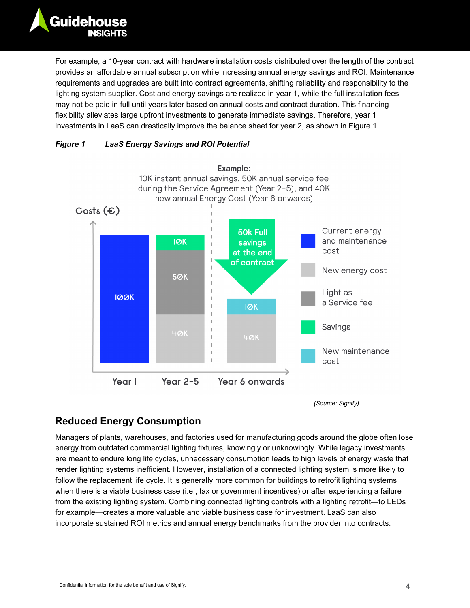For example, a 10-year contract with hardware installation costs distributed over the length of the contract provides an affordable annual subscription while increasing annual energy savings and ROI. Maintenance requirements and upgrades are built into contract agreements, shifting reliability and responsibility to the lighting system supplier. Cost and energy savings are realized in year 1, while the full installation fees may not be paid in full until years later based on annual costs and contract duration. This financing flexibility alleviates large upfront investments to generate immediate savings. Therefore, year 1 investments in LaaS can drastically improve the balance sheet for year 2, as shown in [Figure 1.](#page-4-0)

#### <span id="page-4-0"></span>*Figure 1 LaaS Energy Savings and ROI Potential*



*(Source: Signify)*

#### **Reduced Energy Consumption**

Managers of plants, warehouses, and factories used for manufacturing goods around the globe often lose energy from outdated commercial lighting fixtures, knowingly or unknowingly. While legacy investments are meant to endure long life cycles, unnecessary consumption leads to high levels of energy waste that render lighting systems inefficient. However, installation of a connected lighting system is more likely to follow the replacement life cycle. It is generally more common for buildings to retrofit lighting systems when there is a viable business case (i.e., tax or government incentives) or after experiencing a failure from the existing lighting system. Combining connected lighting controls with a lighting retrofit—to LEDs for example—creates a more valuable and viable business case for investment. LaaS can also incorporate sustained ROI metrics and annual energy benchmarks from the provider into contracts.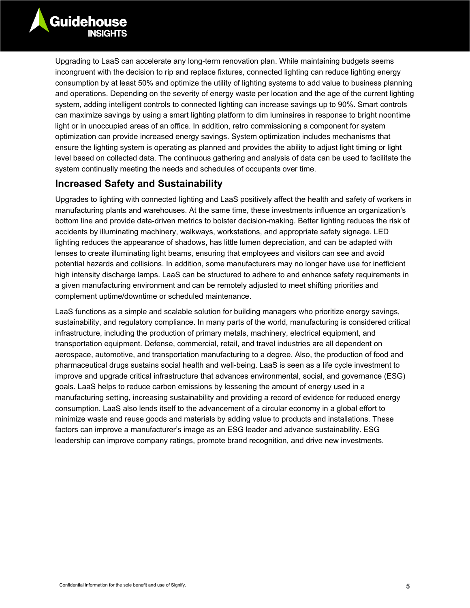Upgrading to LaaS can accelerate any long-term renovation plan. While maintaining budgets seems incongruent with the decision to rip and replace fixtures, connected lighting can reduce lighting energy consumption by at least 50% and optimize the utility of lighting systems to add value to business planning and operations. Depending on the severity of energy waste per location and the age of the current lighting system, adding intelligent controls to connected lighting can increase savings up to 90%. Smart controls can maximize savings by using a smart lighting platform to dim luminaires in response to bright noontime light or in unoccupied areas of an office. In addition, retro commissioning a component for system optimization can provide increased energy savings. System optimization includes mechanisms that ensure the lighting system is operating as planned and provides the ability to adjust light timing or light level based on collected data. The continuous gathering and analysis of data can be used to facilitate the system continually meeting the needs and schedules of occupants over time.

#### **Increased Safety and Sustainability**

Upgrades to lighting with connected lighting and LaaS positively affect the health and safety of workers in manufacturing plants and warehouses. At the same time, these investments influence an organization's bottom line and provide data-driven metrics to bolster decision-making. Better lighting reduces the risk of accidents by illuminating machinery, walkways, workstations, and appropriate safety signage. LED lighting reduces the appearance of shadows, has little lumen depreciation, and can be adapted with lenses to create illuminating light beams, ensuring that employees and visitors can see and avoid potential hazards and collisions. In addition, some manufacturers may no longer have use for inefficient high intensity discharge lamps. LaaS can be structured to adhere to and enhance safety requirements in a given manufacturing environment and can be remotely adjusted to meet shifting priorities and complement uptime/downtime or scheduled maintenance.

LaaS functions as a simple and scalable solution for building managers who prioritize energy savings, sustainability, and regulatory compliance. In many parts of the world, manufacturing is considered critical infrastructure, including the production of primary metals, machinery, electrical equipment, and transportation equipment. Defense, commercial, retail, and travel industries are all dependent on aerospace, automotive, and transportation manufacturing to a degree. Also, the production of food and pharmaceutical drugs sustains social health and well-being. LaaS is seen as a life cycle investment to improve and upgrade critical infrastructure that advances environmental, social, and governance (ESG) goals. LaaS helps to reduce carbon emissions by lessening the amount of energy used in a manufacturing setting, increasing sustainability and providing a record of evidence for reduced energy consumption. LaaS also lends itself to the advancement of a circular economy in a global effort to minimize waste and reuse goods and materials by adding value to products and installations. These factors can improve a manufacturer's image as an ESG leader and advance sustainability. ESG leadership can improve company ratings, promote brand recognition, and drive new investments.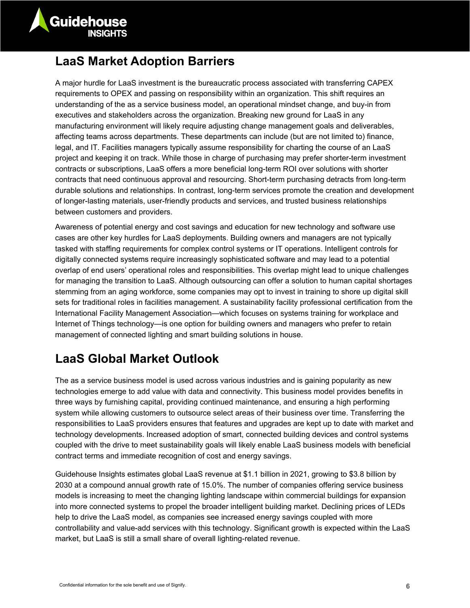

## **LaaS Market Adoption Barriers**

A major hurdle for LaaS investment is the bureaucratic process associated with transferring CAPEX requirements to OPEX and passing on responsibility within an organization. This shift requires an understanding of the as a service business model, an operational mindset change, and buy-in from executives and stakeholders across the organization. Breaking new ground for LaaS in any manufacturing environment will likely require adjusting change management goals and deliverables, affecting teams across departments. These departments can include (but are not limited to) finance, legal, and IT. Facilities managers typically assume responsibility for charting the course of an LaaS project and keeping it on track. While those in charge of purchasing may prefer shorter-term investment contracts or subscriptions, LaaS offers a more beneficial long-term ROI over solutions with shorter contracts that need continuous approval and resourcing. Short-term purchasing detracts from long-term durable solutions and relationships. In contrast, long-term services promote the creation and development of longer-lasting materials, user-friendly products and services, and trusted business relationships between customers and providers.

Awareness of potential energy and cost savings and education for new technology and software use cases are other key hurdles for LaaS deployments. Building owners and managers are not typically tasked with staffing requirements for complex control systems or IT operations. Intelligent controls for digitally connected systems require increasingly sophisticated software and may lead to a potential overlap of end users' operational roles and responsibilities. This overlap might lead to unique challenges for managing the transition to LaaS. Although outsourcing can offer a solution to human capital shortages stemming from an aging workforce, some companies may opt to invest in training to shore up digital skill sets for traditional roles in facilities management. A sustainability facility professional certification from the International Facility Management Association—which focuses on systems training for workplace and Internet of Things technology—is one option for building owners and managers who prefer to retain management of connected lighting and smart building solutions in house.

## **LaaS Global Market Outlook**

The as a service business model is used across various industries and is gaining popularity as new technologies emerge to add value with data and connectivity. This business model provides benefits in three ways by furnishing capital, providing continued maintenance, and ensuring a high performing system while allowing customers to outsource select areas of their business over time. Transferring the responsibilities to LaaS providers ensures that features and upgrades are kept up to date with market and technology developments. Increased adoption of smart, connected building devices and control systems coupled with the drive to meet sustainability goals will likely enable LaaS business models with beneficial contract terms and immediate recognition of cost and energy savings.

Guidehouse Insights estimates global LaaS revenue at \$1.1 billion in 2021, growing to \$3.8 billion by 2030 at a compound annual growth rate of 15.0%. The number of companies offering service business models is increasing to meet the changing lighting landscape within commercial buildings for expansion into more connected systems to propel the broader intelligent building market. Declining prices of LEDs help to drive the LaaS model, as companies see increased energy savings coupled with more controllability and value-add services with this technology. Significant growth is expected within the LaaS market, but LaaS is still a small share of overall lighting-related revenue.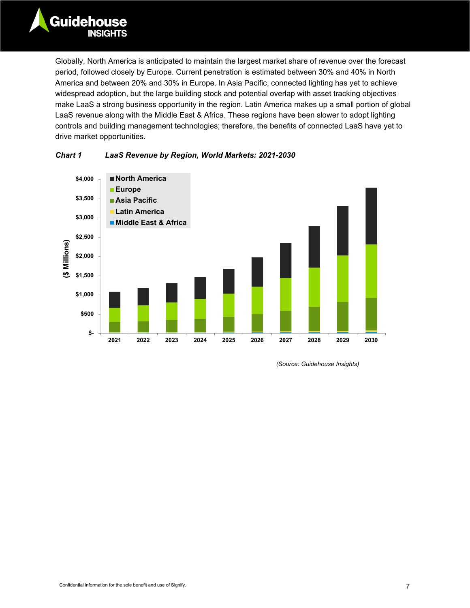Globally, North America is anticipated to maintain the largest market share of revenue over the forecast period, followed closely by Europe. Current penetration is estimated between 30% and 40% in North America and between 20% and 30% in Europe. In Asia Pacific, connected lighting has yet to achieve widespread adoption, but the large building stock and potential overlap with asset tracking objectives make LaaS a strong business opportunity in the region. Latin America makes up a small portion of global LaaS revenue along with the Middle East & Africa. These regions have been slower to adopt lighting controls and building management technologies; therefore, the benefits of connected LaaS have yet to drive market opportunities.





*(Source: Guidehouse Insights)*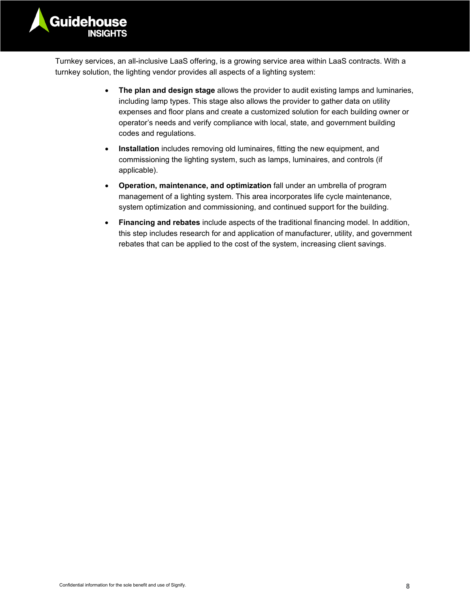

Turnkey services, an all-inclusive LaaS offering, is a growing service area within LaaS contracts. With a turnkey solution, the lighting vendor provides all aspects of a lighting system:

- **The plan and design stage** allows the provider to audit existing lamps and luminaries, including lamp types. This stage also allows the provider to gather data on utility expenses and floor plans and create a customized solution for each building owner or operator's needs and verify compliance with local, state, and government building codes and regulations.
- **Installation** includes removing old luminaires, fitting the new equipment, and commissioning the lighting system, such as lamps, luminaires, and controls (if applicable).
- **Operation, maintenance, and optimization** fall under an umbrella of program management of a lighting system. This area incorporates life cycle maintenance, system optimization and commissioning, and continued support for the building.
- **Financing and rebates** include aspects of the traditional financing model. In addition, this step includes research for and application of manufacturer, utility, and government rebates that can be applied to the cost of the system, increasing client savings.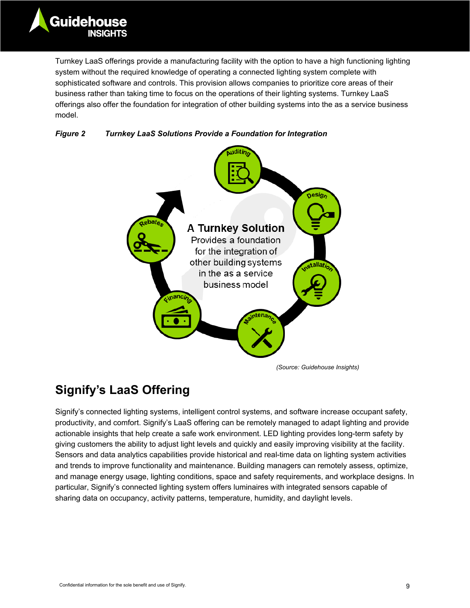Turnkey LaaS offerings provide a manufacturing facility with the option to have a high functioning lighting system without the required knowledge of operating a connected lighting system complete with sophisticated software and controls. This provision allows companies to prioritize core areas of their business rather than taking time to focus on the operations of their lighting systems. Turnkey LaaS offerings also offer the foundation for integration of other building systems into the as a service business model.





*(Source: Guidehouse Insights)*

# **Signify's LaaS Offering**

Signify's connected lighting systems, intelligent control systems, and software increase occupant safety, productivity, and comfort. Signify's LaaS offering can be remotely managed to adapt lighting and provide actionable insights that help create a safe work environment. LED lighting provides long-term safety by giving customers the ability to adjust light levels and quickly and easily improving visibility at the facility. Sensors and data analytics capabilities provide historical and real-time data on lighting system activities and trends to improve functionality and maintenance. Building managers can remotely assess, optimize, and manage energy usage, lighting conditions, space and safety requirements, and workplace designs. In particular, Signify's connected lighting system offers luminaires with integrated sensors capable of sharing data on occupancy, activity patterns, temperature, humidity, and daylight levels.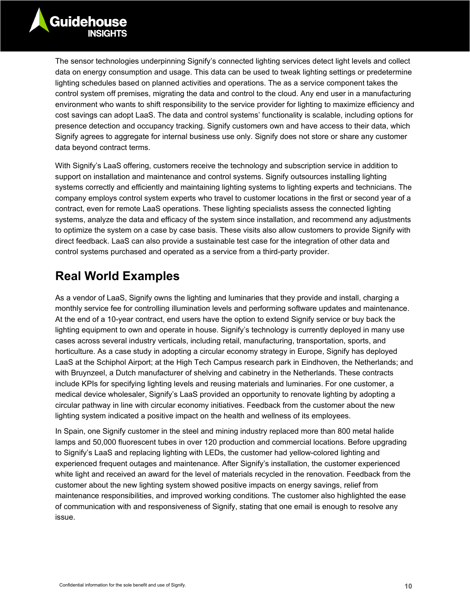The sensor technologies underpinning Signify's connected lighting services detect light levels and collect data on energy consumption and usage. This data can be used to tweak lighting settings or predetermine lighting schedules based on planned activities and operations. The as a service component takes the control system off premises, migrating the data and control to the cloud. Any end user in a manufacturing environment who wants to shift responsibility to the service provider for lighting to maximize efficiency and cost savings can adopt LaaS. The data and control systems' functionality is scalable, including options for presence detection and occupancy tracking. Signify customers own and have access to their data, which Signify agrees to aggregate for internal business use only. Signify does not store or share any customer data beyond contract terms.

With Signify's LaaS offering, customers receive the technology and subscription service in addition to support on installation and maintenance and control systems. Signify outsources installing lighting systems correctly and efficiently and maintaining lighting systems to lighting experts and technicians. The company employs control system experts who travel to customer locations in the first or second year of a contract, even for remote LaaS operations. These lighting specialists assess the connected lighting systems, analyze the data and efficacy of the system since installation, and recommend any adjustments to optimize the system on a case by case basis. These visits also allow customers to provide Signify with direct feedback. LaaS can also provide a sustainable test case for the integration of other data and control systems purchased and operated as a service from a third-party provider.

## **Real World Examples**

As a vendor of LaaS, Signify owns the lighting and luminaries that they provide and install, charging a monthly service fee for controlling illumination levels and performing software updates and maintenance. At the end of a 10-year contract, end users have the option to extend Signify service or buy back the lighting equipment to own and operate in house. Signify's technology is currently deployed in many use cases across several industry verticals, including retail, manufacturing, transportation, sports, and horticulture. As a case study in adopting a circular economy strategy in Europe, Signify has deployed LaaS at the Schiphol Airport; at the High Tech Campus research park in Eindhoven, the Netherlands; and with Bruynzeel, a Dutch manufacturer of shelving and cabinetry in the Netherlands. These contracts include KPIs for specifying lighting levels and reusing materials and luminaries. For one customer, a medical device wholesaler, Signify's LaaS provided an opportunity to renovate lighting by adopting a circular pathway in line with circular economy initiatives. Feedback from the customer about the new lighting system indicated a positive impact on the health and wellness of its employees.

In Spain, one Signify customer in the steel and mining industry replaced more than 800 metal halide lamps and 50,000 fluorescent tubes in over 120 production and commercial locations. Before upgrading to Signify's LaaS and replacing lighting with LEDs, the customer had yellow-colored lighting and experienced frequent outages and maintenance. After Signify's installation, the customer experienced white light and received an award for the level of materials recycled in the renovation. Feedback from the customer about the new lighting system showed positive impacts on energy savings, relief from maintenance responsibilities, and improved working conditions. The customer also highlighted the ease of communication with and responsiveness of Signify, stating that one email is enough to resolve any issue.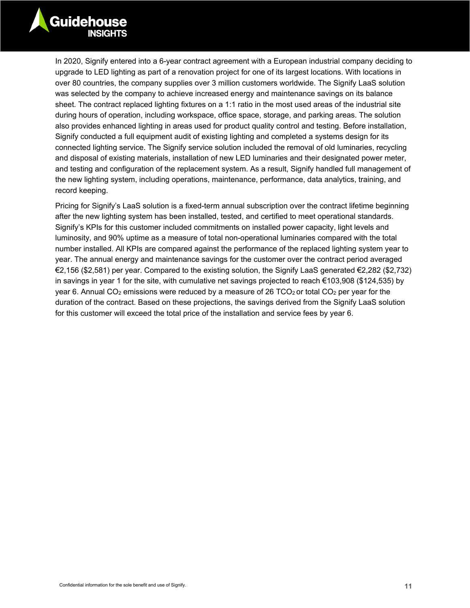

In 2020, Signify entered into a 6-year contract agreement with a European industrial company deciding to upgrade to LED lighting as part of a renovation project for one of its largest locations. With locations in over 80 countries, the company supplies over 3 million customers worldwide. The Signify LaaS solution was selected by the company to achieve increased energy and maintenance savings on its balance sheet. The contract replaced lighting fixtures on a 1:1 ratio in the most used areas of the industrial site during hours of operation, including workspace, office space, storage, and parking areas. The solution also provides enhanced lighting in areas used for product quality control and testing. Before installation, Signify conducted a full equipment audit of existing lighting and completed a systems design for its connected lighting service. The Signify service solution included the removal of old luminaries, recycling and disposal of existing materials, installation of new LED luminaries and their designated power meter, and testing and configuration of the replacement system. As a result, Signify handled full management of the new lighting system, including operations, maintenance, performance, data analytics, training, and record keeping.

Pricing for Signify's LaaS solution is a fixed-term annual subscription over the contract lifetime beginning after the new lighting system has been installed, tested, and certified to meet operational standards. Signify's KPIs for this customer included commitments on installed power capacity, light levels and luminosity, and 90% uptime as a measure of total non-operational luminaries compared with the total number installed. All KPIs are compared against the performance of the replaced lighting system year to year. The annual energy and maintenance savings for the customer over the contract period averaged €2,156 (\$2,581) per year. Compared to the existing solution, the Signify LaaS generated €2,282 (\$2,732) in savings in year 1 for the site, with cumulative net savings projected to reach €103,908 (\$124,535) by year 6. Annual CO<sub>2</sub> emissions were reduced by a measure of 26 TCO<sub>2</sub> or total CO<sub>2</sub> per year for the duration of the contract. Based on these projections, the savings derived from the Signify LaaS solution for this customer will exceed the total price of the installation and service fees by year 6.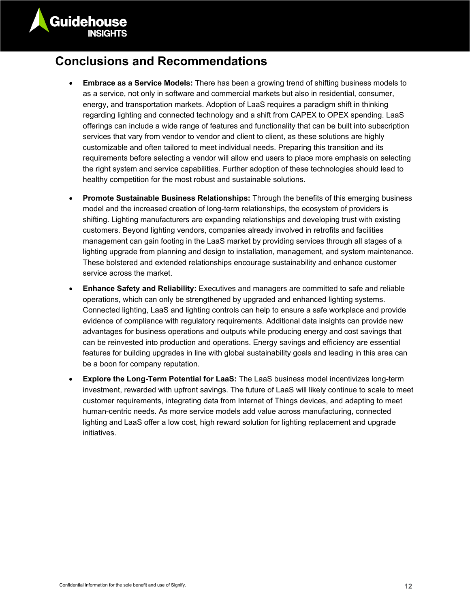

#### **Conclusions and Recommendations**

- **Embrace as a Service Models:** There has been a growing trend of shifting business models to as a service, not only in software and commercial markets but also in residential, consumer, energy, and transportation markets. Adoption of LaaS requires a paradigm shift in thinking regarding lighting and connected technology and a shift from CAPEX to OPEX spending. LaaS offerings can include a wide range of features and functionality that can be built into subscription services that vary from vendor to vendor and client to client, as these solutions are highly customizable and often tailored to meet individual needs. Preparing this transition and its requirements before selecting a vendor will allow end users to place more emphasis on selecting the right system and service capabilities. Further adoption of these technologies should lead to healthy competition for the most robust and sustainable solutions.
- **Promote Sustainable Business Relationships:** Through the benefits of this emerging business model and the increased creation of long-term relationships, the ecosystem of providers is shifting. Lighting manufacturers are expanding relationships and developing trust with existing customers. Beyond lighting vendors, companies already involved in retrofits and facilities management can gain footing in the LaaS market by providing services through all stages of a lighting upgrade from planning and design to installation, management, and system maintenance. These bolstered and extended relationships encourage sustainability and enhance customer service across the market.
- **Enhance Safety and Reliability:** Executives and managers are committed to safe and reliable operations, which can only be strengthened by upgraded and enhanced lighting systems. Connected lighting, LaaS and lighting controls can help to ensure a safe workplace and provide evidence of compliance with regulatory requirements. Additional data insights can provide new advantages for business operations and outputs while producing energy and cost savings that can be reinvested into production and operations. Energy savings and efficiency are essential features for building upgrades in line with global sustainability goals and leading in this area can be a boon for company reputation.
- **Explore the Long-Term Potential for LaaS:** The LaaS business model incentivizes long-term investment, rewarded with upfront savings. The future of LaaS will likely continue to scale to meet customer requirements, integrating data from Internet of Things devices, and adapting to meet human-centric needs. As more service models add value across manufacturing, connected lighting and LaaS offer a low cost, high reward solution for lighting replacement and upgrade initiatives.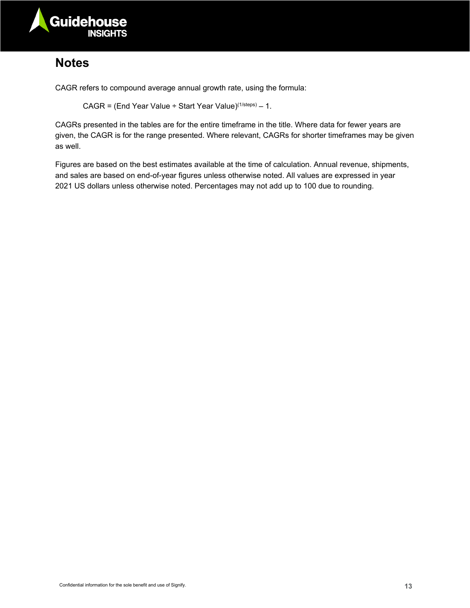

## **Notes**

CAGR refers to compound average annual growth rate, using the formula:

CAGR = (End Year Value ÷ Start Year Value)<sup>(1/steps)</sup> – 1.

CAGRs presented in the tables are for the entire timeframe in the title. Where data for fewer years are given, the CAGR is for the range presented. Where relevant, CAGRs for shorter timeframes may be given as well.

Figures are based on the best estimates available at the time of calculation. Annual revenue, shipments, and sales are based on end-of-year figures unless otherwise noted. All values are expressed in year 2021 US dollars unless otherwise noted. Percentages may not add up to 100 due to rounding.